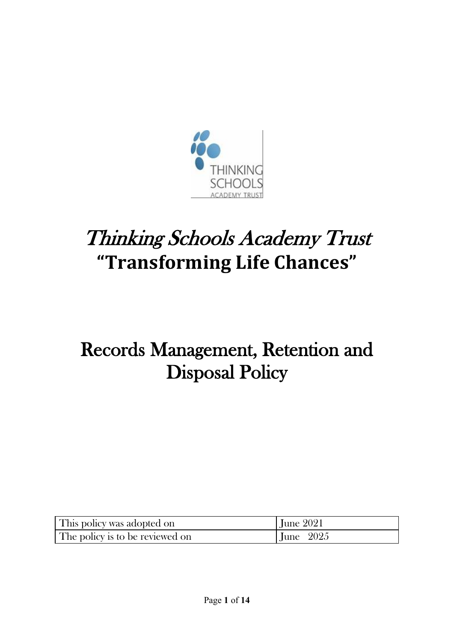

# Thinking Schools Academy Trust **"Transforming Life Chances"**

## Records Management, Retention and Disposal Policy

| This policy was adopted on      | June $2021$              |
|---------------------------------|--------------------------|
| The policy is to be reviewed on | $\text{June} \quad 2025$ |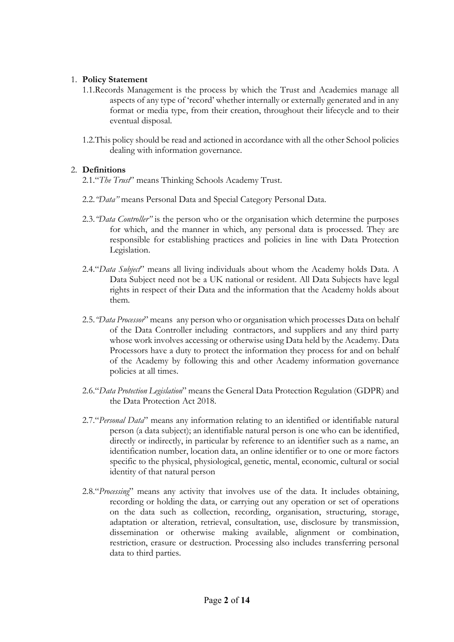#### 1. **Policy Statement**

- 1.1.Records Management is the process by which the Trust and Academies manage all aspects of any type of 'record' whether internally or externally generated and in any format or media type, from their creation, throughout their lifecycle and to their eventual disposal.
- 1.2.This policy should be read and actioned in accordance with all the other School policies dealing with information governance.

#### 2. **Definitions**

- 2.1."*The Trust*" means Thinking Schools Academy Trust.
- 2.2.*"Data"* means Personal Data and Special Category Personal Data.
- 2.3.*"Data Controller"* is the person who or the organisation which determine the purposes for which, and the manner in which, any personal data is processed. They are responsible for establishing practices and policies in line with Data Protection Legislation.
- 2.4."*Data Subject*" means all living individuals about whom the Academy holds Data. A Data Subject need not be a UK national or resident. All Data Subjects have legal rights in respect of their Data and the information that the Academy holds about them.
- 2.5.*"Data Processor*" means any person who or organisation which processes Data on behalf of the Data Controller including contractors, and suppliers and any third party whose work involves accessing or otherwise using Data held by the Academy. Data Processors have a duty to protect the information they process for and on behalf of the Academy by following this and other Academy information governance policies at all times.
- 2.6."*Data Protection Legislation*" means the General Data Protection Regulation (GDPR) and the Data Protection Act 2018.
- 2.7."*Personal Data*" means any information relating to an identified or identifiable natural person (a data subject); an identifiable natural person is one who can be identified, directly or indirectly, in particular by reference to an identifier such as a name, an identification number, location data, an online identifier or to one or more factors specific to the physical, physiological, genetic, mental, economic, cultural or social identity of that natural person
- 2.8."*Processing*" means any activity that involves use of the data. It includes obtaining, recording or holding the data, or carrying out any operation or set of operations on the data such as collection, recording, organisation, structuring, storage, adaptation or alteration, retrieval, consultation, use, disclosure by transmission, dissemination or otherwise making available, alignment or combination, restriction, erasure or destruction. Processing also includes transferring personal data to third parties.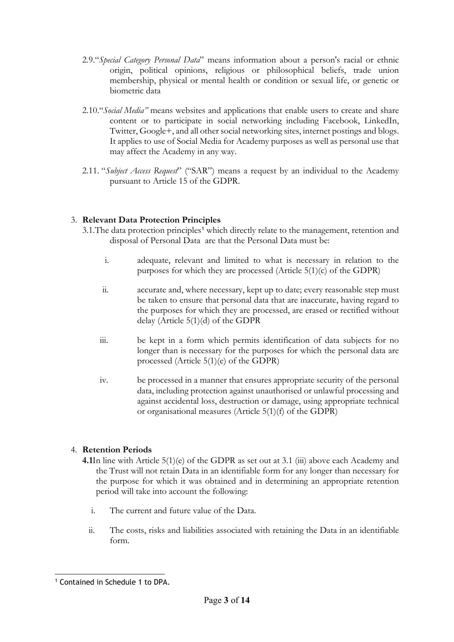- 2.9."*Special Category Personal Data*" means information about a person's racial or ethnic origin, political opinions, religious or philosophical beliefs, trade union membership, physical or mental health or condition or sexual life, or genetic or biometric data
- 2.10."*Social Media"* means websites and applications that enable users to create and share content or to participate in social networking including Facebook, LinkedIn, Twitter, Google+, and all other social networking sites, internet postings and blogs. It applies to use of Social Media for Academy purposes as well as personal use that may affect the Academy in any way.
- 2.11. "*Subject Access Request*" ("SAR") means a request by an individual to the Academy pursuant to Article 15 of the GDPR.

#### 3. **Relevant Data Protection Principles**

- 3.[1](#page-2-0). The data protection principles<sup>1</sup> which directly relate to the management, retention and disposal of Personal Data are that the Personal Data must be:
	- i. adequate, relevant and limited to what is necessary in relation to the purposes for which they are processed (Article 5(1)(c) of the GDPR)
	- ii. accurate and, where necessary, kept up to date; every reasonable step must be taken to ensure that personal data that are inaccurate, having regard to the purposes for which they are processed, are erased or rectified without delay (Article 5(1)(d) of the GDPR
	- iii. be kept in a form which permits identification of data subjects for no longer than is necessary for the purposes for which the personal data are processed (Article 5(1)(e) of the GDPR)
	- iv. be processed in a manner that ensures appropriate security of the personal data, including protection against unauthorised or unlawful processing and against accidental loss, destruction or damage, using appropriate technical or organisational measures (Article 5(1)(f) of the GDPR)

#### 4. **Retention Periods**

- **4.1**In line with Article 5(1)(e) of the GDPR as set out at 3.1 (iii) above each Academy and the Trust will not retain Data in an identifiable form for any longer than necessary for the purpose for which it was obtained and in determining an appropriate retention period will take into account the following:
	- i. The current and future value of the Data.
	- ii. The costs, risks and liabilities associated with retaining the Data in an identifiable form.

<span id="page-2-0"></span><sup>&</sup>lt;u>.</u> <sup>1</sup> Contained in Schedule 1 to DPA.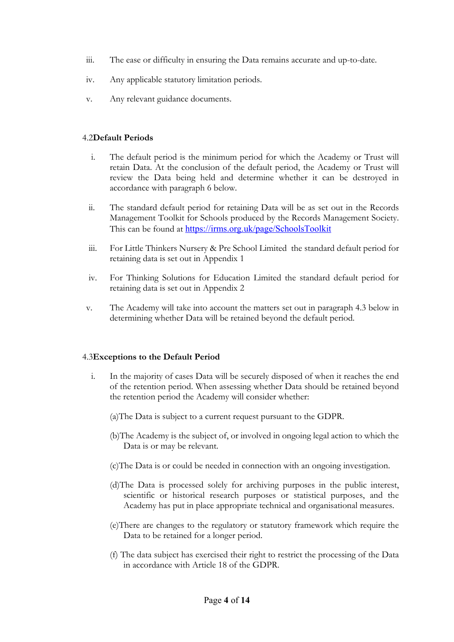- iii. The ease or difficulty in ensuring the Data remains accurate and up-to-date.
- iv. Any applicable statutory limitation periods.
- v. Any relevant guidance documents.

#### 4.2**Default Periods**

- i. The default period is the minimum period for which the Academy or Trust will retain Data. At the conclusion of the default period, the Academy or Trust will review the Data being held and determine whether it can be destroyed in accordance with paragraph 6 below.
- ii. The standard default period for retaining Data will be as set out in the Records Management Toolkit for Schools produced by the Records Management Society. This can be found at <https://irms.org.uk/page/SchoolsToolkit>
- iii. For Little Thinkers Nursery & Pre School Limited the standard default period for retaining data is set out in Appendix 1
- iv. For Thinking Solutions for Education Limited the standard default period for retaining data is set out in Appendix 2
- v. The Academy will take into account the matters set out in paragraph 4.3 below in determining whether Data will be retained beyond the default period.

#### 4.3**Exceptions to the Default Period**

- i. In the majority of cases Data will be securely disposed of when it reaches the end of the retention period. When assessing whether Data should be retained beyond the retention period the Academy will consider whether:
	- (a)The Data is subject to a current request pursuant to the GDPR.
	- (b)The Academy is the subject of, or involved in ongoing legal action to which the Data is or may be relevant.
	- (c)The Data is or could be needed in connection with an ongoing investigation.
	- (d)The Data is processed solely for archiving purposes in the public interest, scientific or historical research purposes or statistical purposes, and the Academy has put in place appropriate technical and organisational measures.
	- (e)There are changes to the regulatory or statutory framework which require the Data to be retained for a longer period.
	- (f) The data subject has exercised their right to restrict the processing of the Data in accordance with Article 18 of the GDPR.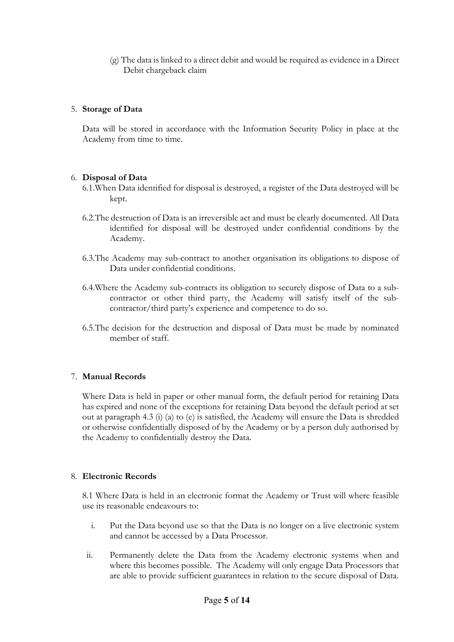(g) The data is linked to a direct debit and would be required as evidence in a Direct Debit chargeback claim

#### 5. **Storage of Data**

Data will be stored in accordance with the Information Security Policy in place at the Academy from time to time.

#### 6. **Disposal of Data**

- 6.1.When Data identified for disposal is destroyed, a register of the Data destroyed will be kept.
- 6.2.The destruction of Data is an irreversible act and must be clearly documented. All Data identified for disposal will be destroyed under confidential conditions by the Academy.
- 6.3.The Academy may sub-contract to another organisation its obligations to dispose of Data under confidential conditions.
- 6.4.Where the Academy sub-contracts its obligation to securely dispose of Data to a subcontractor or other third party, the Academy will satisfy itself of the subcontractor/third party's experience and competence to do so.
- 6.5.The decision for the destruction and disposal of Data must be made by nominated member of staff.

#### 7. **Manual Records**

Where Data is held in paper or other manual form, the default period for retaining Data has expired and none of the exceptions for retaining Data beyond the default period at set out at paragraph 4.3 (i) (a) to (e) is satisfied, the Academy will ensure the Data is shredded or otherwise confidentially disposed of by the Academy or by a person duly authorised by the Academy to confidentially destroy the Data.

#### 8. **Electronic Records**

8.1 Where Data is held in an electronic format the Academy or Trust will where feasible use its reasonable endeavours to:

- i. Put the Data beyond use so that the Data is no longer on a live electronic system and cannot be accessed by a Data Processor.
- ii. Permanently delete the Data from the Academy electronic systems when and where this becomes possible. The Academy will only engage Data Processors that are able to provide sufficient guarantees in relation to the secure disposal of Data.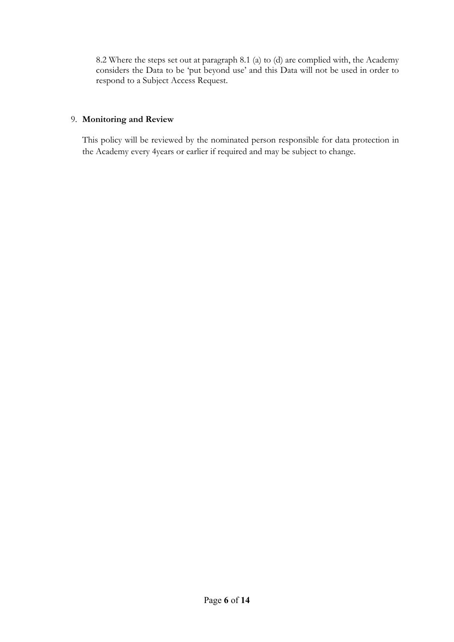8.2 Where the steps set out at paragraph 8.1 (a) to (d) are complied with, the Academy considers the Data to be 'put beyond use' and this Data will not be used in order to respond to a Subject Access Request.

#### 9. **Monitoring and Review**

This policy will be reviewed by the nominated person responsible for data protection in the Academy every 4years or earlier if required and may be subject to change.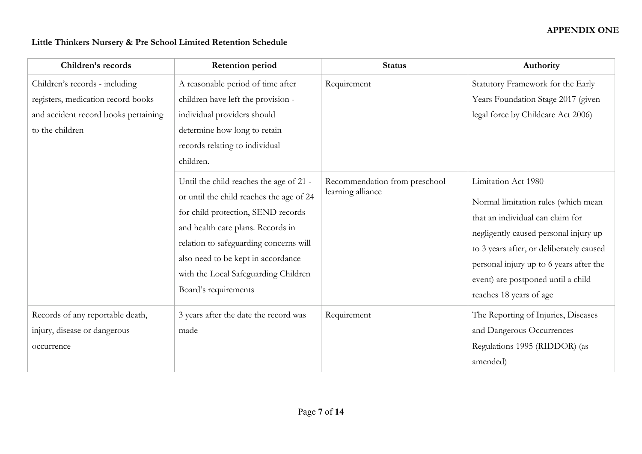### **Little Thinkers Nursery & Pre School Limited Retention Schedule**

| Children's records                                                                                                              | <b>Retention period</b>                                                                                                                                                                                                                                                                                        | <b>Status</b>                                      | Authority                                                                                                                                                                                                                                                                                       |
|---------------------------------------------------------------------------------------------------------------------------------|----------------------------------------------------------------------------------------------------------------------------------------------------------------------------------------------------------------------------------------------------------------------------------------------------------------|----------------------------------------------------|-------------------------------------------------------------------------------------------------------------------------------------------------------------------------------------------------------------------------------------------------------------------------------------------------|
| Children's records - including<br>registers, medication record books<br>and accident record books pertaining<br>to the children | A reasonable period of time after<br>children have left the provision -<br>individual providers should<br>determine how long to retain<br>records relating to individual<br>children.                                                                                                                          | Requirement                                        | Statutory Framework for the Early<br>Years Foundation Stage 2017 (given<br>legal force by Childcare Act 2006)                                                                                                                                                                                   |
|                                                                                                                                 | Until the child reaches the age of 21 -<br>or until the child reaches the age of 24<br>for child protection, SEND records<br>and health care plans. Records in<br>relation to safeguarding concerns will<br>also need to be kept in accordance<br>with the Local Safeguarding Children<br>Board's requirements | Recommendation from preschool<br>learning alliance | Limitation Act 1980<br>Normal limitation rules (which mean<br>that an individual can claim for<br>negligently caused personal injury up<br>to 3 years after, or deliberately caused<br>personal injury up to 6 years after the<br>event) are postponed until a child<br>reaches 18 years of age |
| Records of any reportable death,<br>injury, disease or dangerous<br>occurrence                                                  | 3 years after the date the record was<br>made                                                                                                                                                                                                                                                                  | Requirement                                        | The Reporting of Injuries, Diseases<br>and Dangerous Occurrences<br>Regulations 1995 (RIDDOR) (as<br>amended)                                                                                                                                                                                   |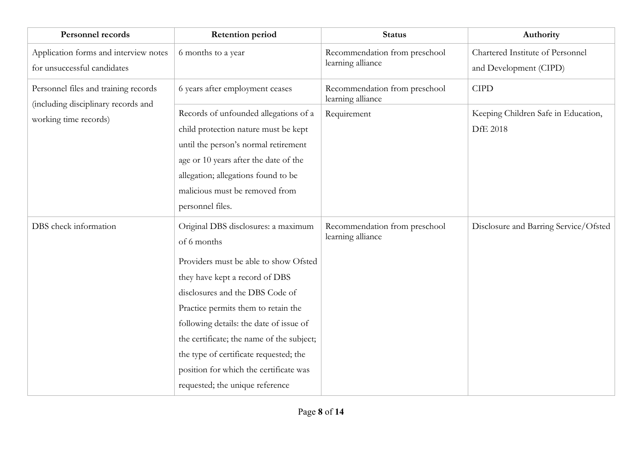| <b>Personnel records</b>                                                    | <b>Retention period</b>                                                                                                                                                                                                                                                                                                                                                                                                | <b>Status</b>                                      | Authority                                                  |
|-----------------------------------------------------------------------------|------------------------------------------------------------------------------------------------------------------------------------------------------------------------------------------------------------------------------------------------------------------------------------------------------------------------------------------------------------------------------------------------------------------------|----------------------------------------------------|------------------------------------------------------------|
| Application forms and interview notes<br>for unsuccessful candidates        | 6 months to a year                                                                                                                                                                                                                                                                                                                                                                                                     | Recommendation from preschool<br>learning alliance | Chartered Institute of Personnel<br>and Development (CIPD) |
| Personnel files and training records<br>(including disciplinary records and | 6 years after employment ceases                                                                                                                                                                                                                                                                                                                                                                                        | Recommendation from preschool<br>learning alliance | <b>CIPD</b>                                                |
| working time records)                                                       | Records of unfounded allegations of a<br>child protection nature must be kept<br>until the person's normal retirement<br>age or 10 years after the date of the<br>allegation; allegations found to be<br>malicious must be removed from<br>personnel files.                                                                                                                                                            | Requirement                                        | Keeping Children Safe in Education,<br><b>DfE 2018</b>     |
| DBS check information                                                       | Original DBS disclosures: a maximum<br>of 6 months<br>Providers must be able to show Ofsted<br>they have kept a record of DBS<br>disclosures and the DBS Code of<br>Practice permits them to retain the<br>following details: the date of issue of<br>the certificate; the name of the subject;<br>the type of certificate requested; the<br>position for which the certificate was<br>requested; the unique reference | Recommendation from preschool<br>learning alliance | Disclosure and Barring Service/Ofsted                      |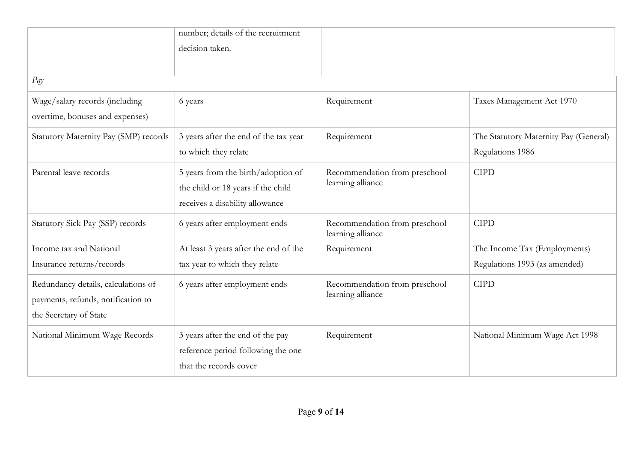|                                       | number; details of the recruitment                                       |                                                    |                                       |
|---------------------------------------|--------------------------------------------------------------------------|----------------------------------------------------|---------------------------------------|
|                                       | decision taken.                                                          |                                                    |                                       |
|                                       |                                                                          |                                                    |                                       |
| Pay                                   |                                                                          |                                                    |                                       |
| Wage/salary records (including        | 6 years                                                                  | Requirement                                        | Taxes Management Act 1970             |
| overtime, bonuses and expenses)       |                                                                          |                                                    |                                       |
| Statutory Maternity Pay (SMP) records | 3 years after the end of the tax year                                    | Requirement                                        | The Statutory Maternity Pay (General) |
|                                       | to which they relate                                                     |                                                    | Regulations 1986                      |
| Parental leave records                | 5 years from the birth/adoption of<br>the child or 18 years if the child | Recommendation from preschool<br>learning alliance | <b>CIPD</b>                           |
|                                       | receives a disability allowance                                          |                                                    |                                       |
| Statutory Sick Pay (SSP) records      | 6 years after employment ends                                            | Recommendation from preschool<br>learning alliance | <b>CIPD</b>                           |
| Income tax and National               | At least 3 years after the end of the                                    | Requirement                                        | The Income Tax (Employments)          |
| Insurance returns/records             | tax year to which they relate                                            |                                                    | Regulations 1993 (as amended)         |
| Redundancy details, calculations of   | 6 years after employment ends                                            | Recommendation from preschool                      | <b>CIPD</b>                           |
| payments, refunds, notification to    |                                                                          | learning alliance                                  |                                       |
| the Secretary of State                |                                                                          |                                                    |                                       |
| National Minimum Wage Records         | 3 years after the end of the pay                                         | Requirement                                        | National Minimum Wage Act 1998        |
|                                       | reference period following the one                                       |                                                    |                                       |
|                                       | that the records cover                                                   |                                                    |                                       |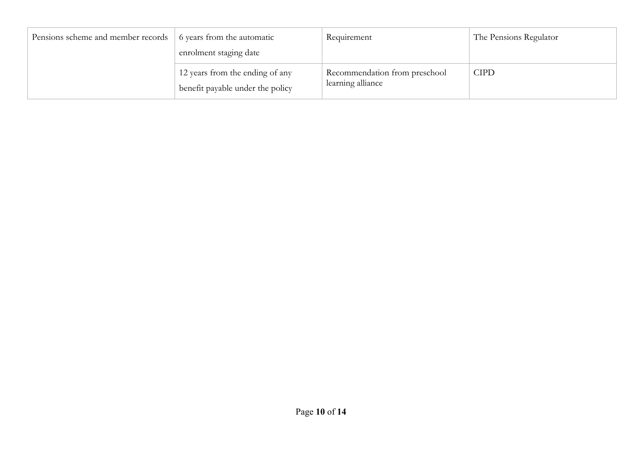| Pensions scheme and member records | 6 years from the automatic                                          | Requirement                                        | The Pensions Regulator |
|------------------------------------|---------------------------------------------------------------------|----------------------------------------------------|------------------------|
|                                    | enrolment staging date                                              |                                                    |                        |
|                                    | 12 years from the ending of any<br>benefit payable under the policy | Recommendation from preschool<br>learning alliance | CIPD                   |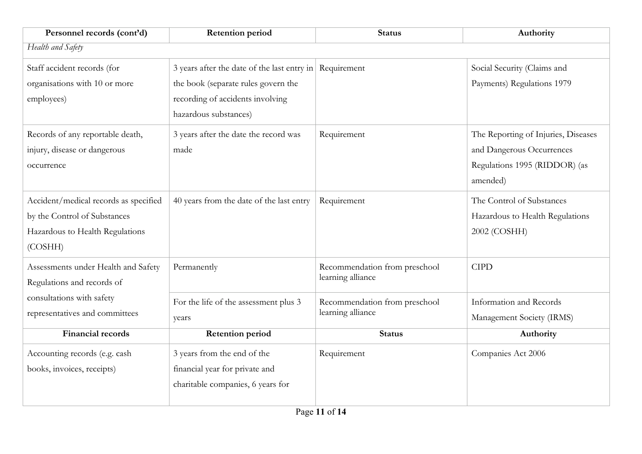| Personnel records (cont'd)                                                                                          | <b>Retention period</b>                                                                                                                                     | <b>Status</b>                                      | Authority                                                                                                     |
|---------------------------------------------------------------------------------------------------------------------|-------------------------------------------------------------------------------------------------------------------------------------------------------------|----------------------------------------------------|---------------------------------------------------------------------------------------------------------------|
| Health and Safety                                                                                                   |                                                                                                                                                             |                                                    |                                                                                                               |
| Staff accident records (for<br>organisations with 10 or more<br>employees)                                          | 3 years after the date of the last entry in Requirement<br>the book (separate rules govern the<br>recording of accidents involving<br>hazardous substances) |                                                    | Social Security (Claims and<br>Payments) Regulations 1979                                                     |
| Records of any reportable death,<br>injury, disease or dangerous<br>occurrence                                      | 3 years after the date the record was<br>made                                                                                                               | Requirement                                        | The Reporting of Injuries, Diseases<br>and Dangerous Occurrences<br>Regulations 1995 (RIDDOR) (as<br>amended) |
| Accident/medical records as specified<br>by the Control of Substances<br>Hazardous to Health Regulations<br>(COSHH) | 40 years from the date of the last entry                                                                                                                    | Requirement                                        | The Control of Substances<br>Hazardous to Health Regulations<br>2002 (COSHH)                                  |
| Assessments under Health and Safety<br>Regulations and records of                                                   | Permanently                                                                                                                                                 | Recommendation from preschool<br>learning alliance | <b>CIPD</b>                                                                                                   |
| consultations with safety<br>representatives and committees                                                         | For the life of the assessment plus 3<br>years                                                                                                              | Recommendation from preschool<br>learning alliance | Information and Records<br>Management Society (IRMS)                                                          |
| <b>Financial records</b>                                                                                            | <b>Retention period</b>                                                                                                                                     | <b>Status</b>                                      | Authority                                                                                                     |
| Accounting records (e.g. cash<br>books, invoices, receipts)                                                         | 3 years from the end of the<br>financial year for private and<br>charitable companies, 6 years for                                                          | Requirement                                        | Companies Act 2006                                                                                            |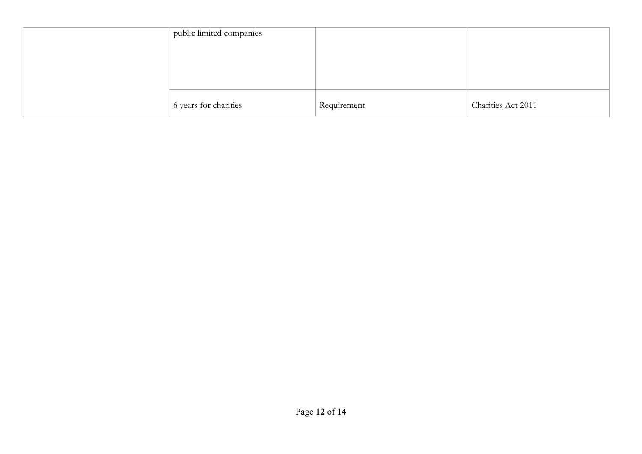| public limited companies |             |                    |
|--------------------------|-------------|--------------------|
|                          |             |                    |
|                          |             |                    |
|                          |             |                    |
| 6 years for charities    | Requirement | Charities Act 2011 |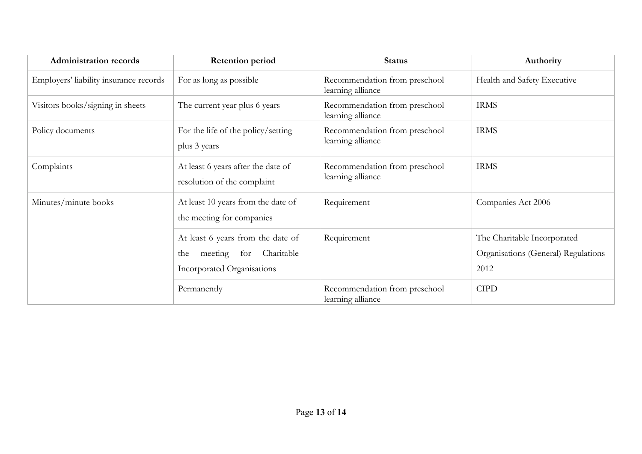| <b>Administration records</b>          | <b>Retention period</b>                                                                                | <b>Status</b>                                      | Authority                                                                  |
|----------------------------------------|--------------------------------------------------------------------------------------------------------|----------------------------------------------------|----------------------------------------------------------------------------|
| Employers' liability insurance records | For as long as possible                                                                                | Recommendation from preschool<br>learning alliance | Health and Safety Executive                                                |
| Visitors books/signing in sheets       | The current year plus 6 years                                                                          | Recommendation from preschool<br>learning alliance | <b>IRMS</b>                                                                |
| Policy documents                       | For the life of the policy/setting<br>plus 3 years                                                     | Recommendation from preschool<br>learning alliance | <b>IRMS</b>                                                                |
| Complaints                             | At least 6 years after the date of<br>resolution of the complaint                                      | Recommendation from preschool<br>learning alliance | <b>IRMS</b>                                                                |
| Minutes/minute books                   | At least 10 years from the date of<br>the meeting for companies                                        | Requirement                                        | Companies Act 2006                                                         |
|                                        | At least 6 years from the date of<br>Charitable<br>for<br>meeting<br>the<br>Incorporated Organisations | Requirement                                        | The Charitable Incorporated<br>Organisations (General) Regulations<br>2012 |
|                                        | Permanently                                                                                            | Recommendation from preschool<br>learning alliance | <b>CIPD</b>                                                                |